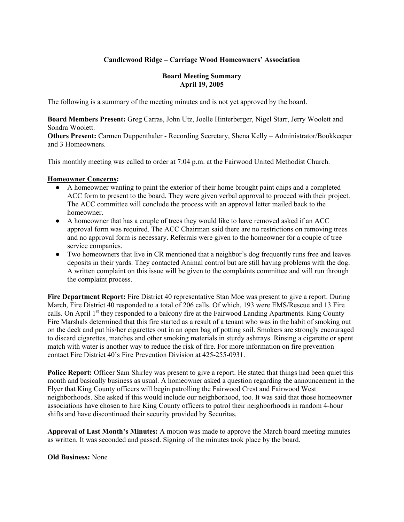### **Candlewood Ridge – Carriage Wood Homeowners' Association**

#### **Board Meeting Summary April 19, 2005**

The following is a summary of the meeting minutes and is not yet approved by the board.

**Board Members Present:** Greg Carras, John Utz, Joelle Hinterberger, Nigel Starr, Jerry Woolett and Sondra Woolett.

**Others Present:** Carmen Duppenthaler - Recording Secretary, Shena Kelly – Administrator/Bookkeeper and 3 Homeowners.

This monthly meeting was called to order at 7:04 p.m. at the Fairwood United Methodist Church.

#### **Homeowner Concerns:**

- A homeowner wanting to paint the exterior of their home brought paint chips and a completed ACC form to present to the board. They were given verbal approval to proceed with their project. The ACC committee will conclude the process with an approval letter mailed back to the homeowner.
- A homeowner that has a couple of trees they would like to have removed asked if an ACC approval form was required. The ACC Chairman said there are no restrictions on removing trees and no approval form is necessary. Referrals were given to the homeowner for a couple of tree service companies.
- Two homeowners that live in CR mentioned that a neighbor's dog frequently runs free and leaves deposits in their yards. They contacted Animal control but are still having problems with the dog. A written complaint on this issue will be given to the complaints committee and will run through the complaint process.

**Fire Department Report:** Fire District 40 representative Stan Moe was present to give a report. During March, Fire District 40 responded to a total of 206 calls. Of which, 193 were EMS/Rescue and 13 Fire calls. On April 1<sup>st</sup> they responded to a balcony fire at the Fairwood Landing Apartments. King County Fire Marshals determined that this fire started as a result of a tenant who was in the habit of smoking out on the deck and put his/her cigarettes out in an open bag of potting soil. Smokers are strongly encouraged to discard cigarettes, matches and other smoking materials in sturdy ashtrays. Rinsing a cigarette or spent match with water is another way to reduce the risk of fire. For more information on fire prevention contact Fire District 40's Fire Prevention Division at 425-255-0931.

**Police Report:** Officer Sam Shirley was present to give a report. He stated that things had been quiet this month and basically business as usual. A homeowner asked a question regarding the announcement in the Flyer that King County officers will begin patrolling the Fairwood Crest and Fairwood West neighborhoods. She asked if this would include our neighborhood, too. It was said that those homeowner associations have chosen to hire King County officers to patrol their neighborhoods in random 4-hour shifts and have discontinued their security provided by Securitas.

**Approval of Last Month's Minutes:** A motion was made to approve the March board meeting minutes as written. It was seconded and passed. Signing of the minutes took place by the board.

**Old Business:** None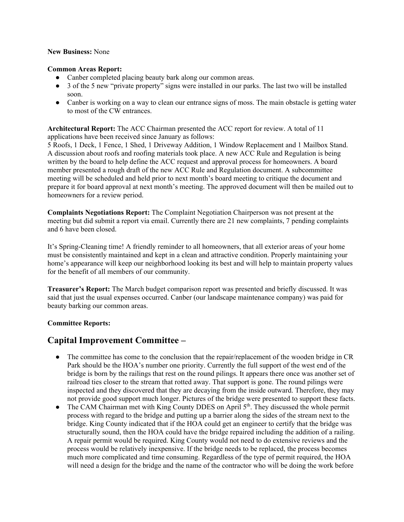#### **New Business:** None

#### **Common Areas Report:**

- Canber completed placing beauty bark along our common areas.
- 3 of the 5 new "private property" signs were installed in our parks. The last two will be installed soon.
- Canber is working on a way to clean our entrance signs of moss. The main obstacle is getting water to most of the CW entrances.

**Architectural Report:** The ACC Chairman presented the ACC report for review. A total of 11 applications have been received since January as follows:

5 Roofs, 1 Deck, 1 Fence, 1 Shed, 1 Driveway Addition, 1 Window Replacement and 1 Mailbox Stand. A discussion about roofs and roofing materials took place. A new ACC Rule and Regulation is being written by the board to help define the ACC request and approval process for homeowners. A board member presented a rough draft of the new ACC Rule and Regulation document. A subcommittee meeting will be scheduled and held prior to next month's board meeting to critique the document and prepare it for board approval at next month's meeting. The approved document will then be mailed out to homeowners for a review period.

**Complaints Negotiations Report:** The Complaint Negotiation Chairperson was not present at the meeting but did submit a report via email. Currently there are 21 new complaints, 7 pending complaints and 6 have been closed.

It's Spring-Cleaning time! A friendly reminder to all homeowners, that all exterior areas of your home must be consistently maintained and kept in a clean and attractive condition. Properly maintaining your home's appearance will keep our neighborhood looking its best and will help to maintain property values for the benefit of all members of our community.

**Treasurer's Report:** The March budget comparison report was presented and briefly discussed. It was said that just the usual expenses occurred. Canber (our landscape maintenance company) was paid for beauty barking our common areas.

#### **Committee Reports:**

## **Capital Improvement Committee –**

- The committee has come to the conclusion that the repair/replacement of the wooden bridge in CR Park should be the HOA's number one priority. Currently the full support of the west end of the bridge is born by the railings that rest on the round pilings. It appears there once was another set of railroad ties closer to the stream that rotted away. That support is gone. The round pilings were inspected and they discovered that they are decaying from the inside outward. Therefore, they may not provide good support much longer. Pictures of the bridge were presented to support these facts.
- The CAM Chairman met with King County DDES on April  $5<sup>th</sup>$ . They discussed the whole permit process with regard to the bridge and putting up a barrier along the sides of the stream next to the bridge. King County indicated that if the HOA could get an engineer to certify that the bridge was structurally sound, then the HOA could have the bridge repaired including the addition of a railing. A repair permit would be required. King County would not need to do extensive reviews and the process would be relatively inexpensive. If the bridge needs to be replaced, the process becomes much more complicated and time consuming. Regardless of the type of permit required, the HOA will need a design for the bridge and the name of the contractor who will be doing the work before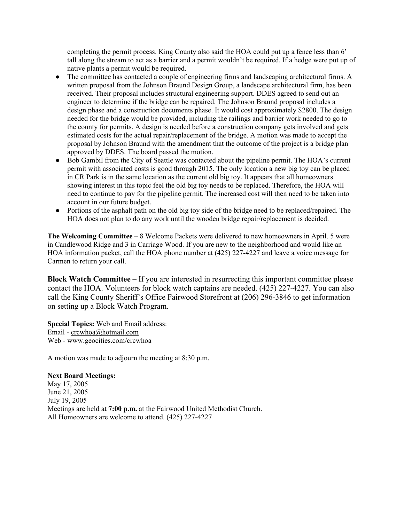completing the permit process. King County also said the HOA could put up a fence less than 6' tall along the stream to act as a barrier and a permit wouldn't be required. If a hedge were put up of native plants a permit would be required.

- The committee has contacted a couple of engineering firms and landscaping architectural firms. A written proposal from the Johnson Braund Design Group, a landscape architectural firm, has been received. Their proposal includes structural engineering support. DDES agreed to send out an engineer to determine if the bridge can be repaired. The Johnson Braund proposal includes a design phase and a construction documents phase. It would cost approximately \$2800. The design needed for the bridge would be provided, including the railings and barrier work needed to go to the county for permits. A design is needed before a construction company gets involved and gets estimated costs for the actual repair/replacement of the bridge. A motion was made to accept the proposal by Johnson Braund with the amendment that the outcome of the project is a bridge plan approved by DDES. The board passed the motion.
- Bob Gambil from the City of Seattle was contacted about the pipeline permit. The HOA's current permit with associated costs is good through 2015. The only location a new big toy can be placed in CR Park is in the same location as the current old big toy. It appears that all homeowners showing interest in this topic feel the old big toy needs to be replaced. Therefore, the HOA will need to continue to pay for the pipeline permit. The increased cost will then need to be taken into account in our future budget.
- Portions of the asphalt path on the old big toy side of the bridge need to be replaced/repaired. The HOA does not plan to do any work until the wooden bridge repair/replacement is decided.

**The Welcoming Committee** – 8 Welcome Packets were delivered to new homeowners in April. 5 were in Candlewood Ridge and 3 in Carriage Wood. If you are new to the neighborhood and would like an HOA information packet, call the HOA phone number at (425) 227-4227 and leave a voice message for Carmen to return your call.

**Block Watch Committee** – If you are interested in resurrecting this important committee please contact the HOA. Volunteers for block watch captains are needed. (425) 227-4227. You can also call the King County Sheriff's Office Fairwood Storefront at (206) 296-3846 to get information on setting up a Block Watch Program.

**Special Topics:** Web and Email address: Email - crcwhoa@hotmail.com Web - www.geocities.com/crcwhoa

A motion was made to adjourn the meeting at 8:30 p.m.

#### **Next Board Meetings:**

May 17, 2005 June 21, 2005 July 19, 2005 Meetings are held at **7:00 p.m.** at the Fairwood United Methodist Church. All Homeowners are welcome to attend. (425) 227-4227